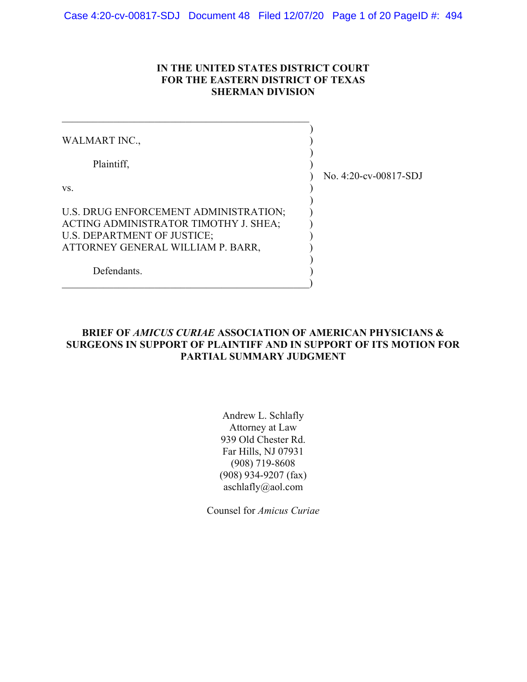### IN THE UNITED STATES DISTRICT COURT FOR THE EASTERN DISTRICT OF TEXAS SHERMAN DIVISION

| WALMART INC.,                                                                                                                                      |                       |
|----------------------------------------------------------------------------------------------------------------------------------------------------|-----------------------|
| Plaintiff,                                                                                                                                         | No. 4:20-cv-00817-SDJ |
| VS.                                                                                                                                                |                       |
| U.S. DRUG ENFORCEMENT ADMINISTRATION;<br>ACTING ADMINISTRATOR TIMOTHY J. SHEA;<br>U.S. DEPARTMENT OF JUSTICE;<br>ATTORNEY GENERAL WILLIAM P. BARR, |                       |
| Defendants.                                                                                                                                        |                       |

## BRIEF OF AMICUS CURIAE ASSOCIATION OF AMERICAN PHYSICIANS & SURGEONS IN SUPPORT OF PLAINTIFF AND IN SUPPORT OF ITS MOTION FOR PARTIAL SUMMARY JUDGMENT

Andrew L. Schlafly Attorney at Law 939 Old Chester Rd. Far Hills, NJ 07931 (908) 719-8608 (908) 934-9207 (fax) aschlafly@aol.com

Counsel for Amicus Curiae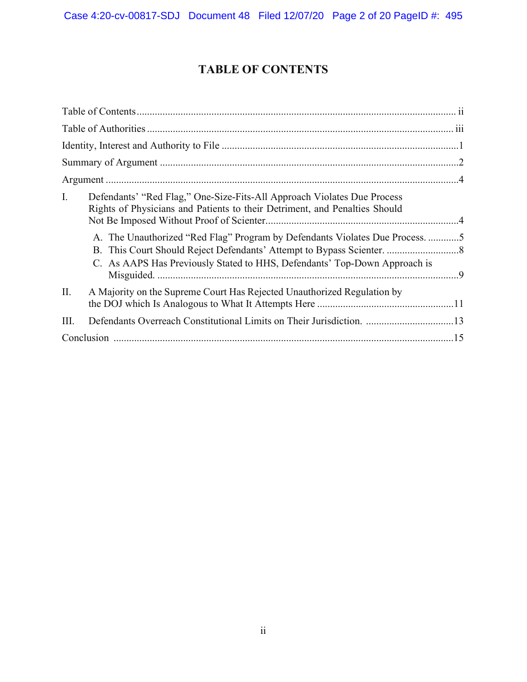# TABLE OF CONTENTS

| I.   | Defendants' "Red Flag," One-Size-Fits-All Approach Violates Due Process<br>Rights of Physicians and Patients to their Detriment, and Penalties Should<br>A. The Unauthorized "Red Flag" Program by Defendants Violates Due Process. 5<br>C. As AAPS Has Previously Stated to HHS, Defendants' Top-Down Approach is |  |
|------|--------------------------------------------------------------------------------------------------------------------------------------------------------------------------------------------------------------------------------------------------------------------------------------------------------------------|--|
| II.  | A Majority on the Supreme Court Has Rejected Unauthorized Regulation by                                                                                                                                                                                                                                            |  |
| III. | Defendants Overreach Constitutional Limits on Their Jurisdiction. 13                                                                                                                                                                                                                                               |  |
|      |                                                                                                                                                                                                                                                                                                                    |  |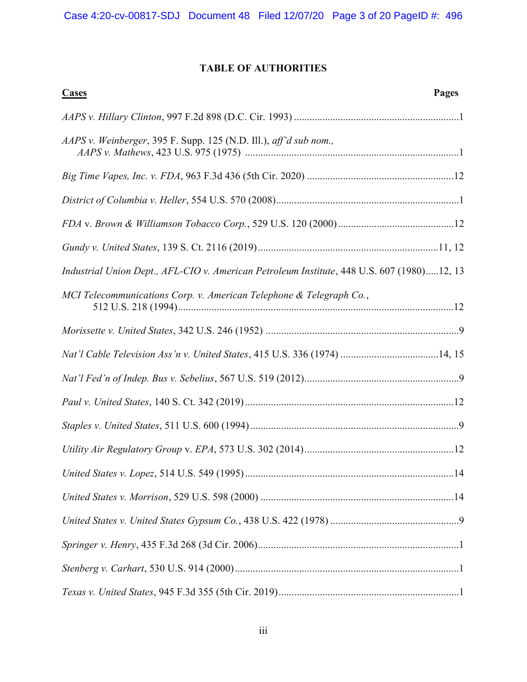## TABLE OF AUTHORITIES

| Pages<br><b>Cases</b>                                                                      |
|--------------------------------------------------------------------------------------------|
|                                                                                            |
| AAPS v. Weinberger, 395 F. Supp. 125 (N.D. Ill.), aff'd sub nom.,                          |
|                                                                                            |
|                                                                                            |
|                                                                                            |
|                                                                                            |
| Industrial Union Dept., AFL-CIO v. American Petroleum Institute, 448 U.S. 607 (1980)12, 13 |
| MCI Telecommunications Corp. v. American Telephone & Telegraph Co.,                        |
|                                                                                            |
| Nat'l Cable Television Ass'n v. United States, 415 U.S. 336 (1974) 14, 15                  |
|                                                                                            |
|                                                                                            |
|                                                                                            |
|                                                                                            |
|                                                                                            |
|                                                                                            |
|                                                                                            |
|                                                                                            |
|                                                                                            |
|                                                                                            |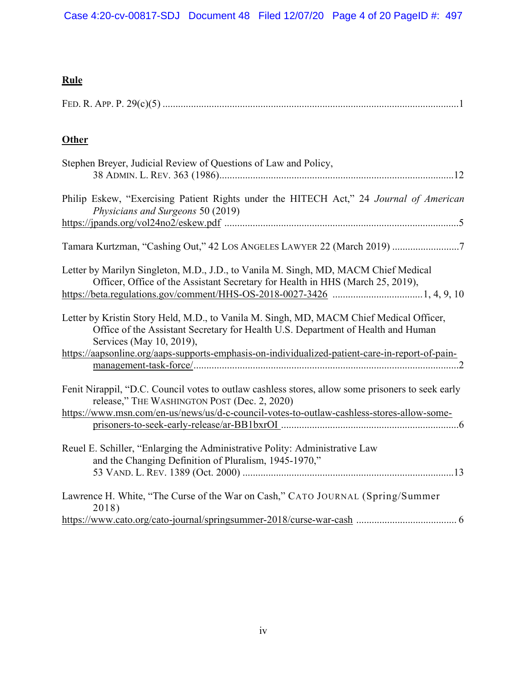## Rule

# **Other**

| Stephen Breyer, Judicial Review of Questions of Law and Policy,                                                                                                                                         |
|---------------------------------------------------------------------------------------------------------------------------------------------------------------------------------------------------------|
| Philip Eskew, "Exercising Patient Rights under the HITECH Act," 24 Journal of American<br>Physicians and Surgeons 50 (2019)                                                                             |
|                                                                                                                                                                                                         |
| Tamara Kurtzman, "Cashing Out," 42 LOS ANGELES LAWYER 22 (March 2019) 7                                                                                                                                 |
| Letter by Marilyn Singleton, M.D., J.D., to Vanila M. Singh, MD, MACM Chief Medical<br>Officer, Office of the Assistant Secretary for Health in HHS (March 25, 2019),                                   |
| Letter by Kristin Story Held, M.D., to Vanila M. Singh, MD, MACM Chief Medical Officer,<br>Office of the Assistant Secretary for Health U.S. Department of Health and Human<br>Services (May 10, 2019), |
| https://aapsonline.org/aaps-supports-emphasis-on-individualized-patient-care-in-report-of-pain-                                                                                                         |
| Fenit Nirappil, "D.C. Council votes to outlaw cashless stores, allow some prisoners to seek early<br>release," THE WASHINGTON POST (Dec. 2, 2020)                                                       |
| https://www.msn.com/en-us/news/us/d-c-council-votes-to-outlaw-cashless-stores-allow-some-                                                                                                               |
| Reuel E. Schiller, "Enlarging the Administrative Polity: Administrative Law<br>and the Changing Definition of Pluralism, 1945-1970,"                                                                    |
| Lawrence H. White, "The Curse of the War on Cash," CATO JOURNAL (Spring/Summer<br>2018)                                                                                                                 |
|                                                                                                                                                                                                         |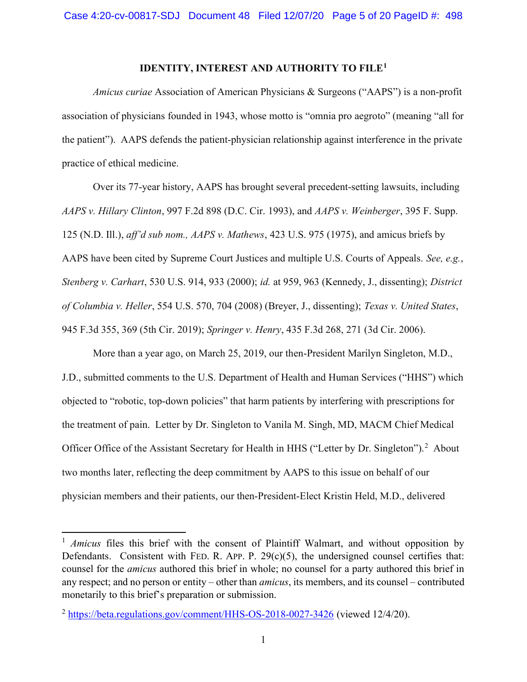### IDENTITY, INTEREST AND AUTHORITY TO FILE<sup>1</sup>

Amicus curiae Association of American Physicians & Surgeons ("AAPS") is a non-profit association of physicians founded in 1943, whose motto is "omnia pro aegroto" (meaning "all for the patient"). AAPS defends the patient-physician relationship against interference in the private practice of ethical medicine.

Over its 77-year history, AAPS has brought several precedent-setting lawsuits, including AAPS v. Hillary Clinton, 997 F.2d 898 (D.C. Cir. 1993), and AAPS v. Weinberger, 395 F. Supp. 125 (N.D. Ill.), aff'd sub nom., AAPS v. Mathews, 423 U.S. 975 (1975), and amicus briefs by AAPS have been cited by Supreme Court Justices and multiple U.S. Courts of Appeals. See, e.g., Stenberg v. Carhart, 530 U.S. 914, 933 (2000); id. at 959, 963 (Kennedy, J., dissenting); District of Columbia v. Heller, 554 U.S. 570, 704 (2008) (Breyer, J., dissenting); Texas v. United States, 945 F.3d 355, 369 (5th Cir. 2019); Springer v. Henry, 435 F.3d 268, 271 (3d Cir. 2006).

More than a year ago, on March 25, 2019, our then-President Marilyn Singleton, M.D., J.D., submitted comments to the U.S. Department of Health and Human Services ("HHS") which objected to "robotic, top-down policies" that harm patients by interfering with prescriptions for the treatment of pain. Letter by Dr. Singleton to Vanila M. Singh, MD, MACM Chief Medical Officer Office of the Assistant Secretary for Health in HHS ("Letter by Dr. Singleton").<sup>2</sup> About two months later, reflecting the deep commitment by AAPS to this issue on behalf of our physician members and their patients, our then-President-Elect Kristin Held, M.D., delivered

 $1$  Amicus files this brief with the consent of Plaintiff Walmart, and without opposition by Defendants. Consistent with FED. R. APP. P.  $29(c)(5)$ , the undersigned counsel certifies that: counsel for the amicus authored this brief in whole; no counsel for a party authored this brief in any respect; and no person or entity – other than amicus, its members, and its counsel – contributed monetarily to this brief's preparation or submission.

<sup>2</sup> https://beta.regulations.gov/comment/HHS-OS-2018-0027-3426 (viewed 12/4/20).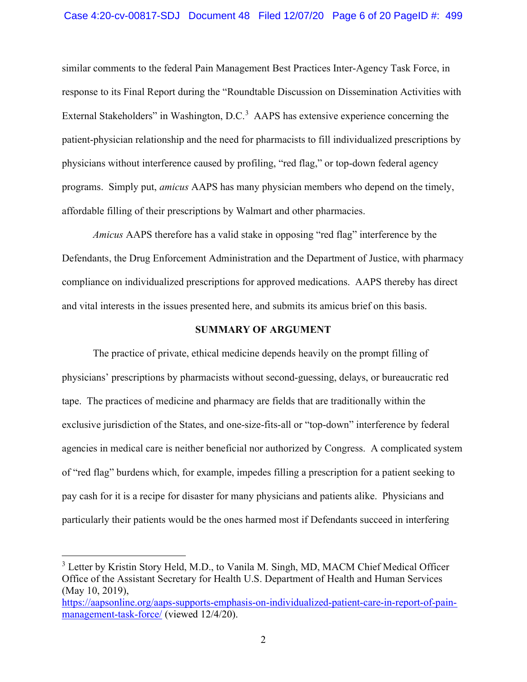#### Case 4:20-cv-00817-SDJ Document 48 Filed 12/07/20 Page 6 of 20 PageID #: 499

similar comments to the federal Pain Management Best Practices Inter-Agency Task Force, in response to its Final Report during the "Roundtable Discussion on Dissemination Activities with External Stakeholders" in Washington, D.C.<sup>3</sup> AAPS has extensive experience concerning the patient-physician relationship and the need for pharmacists to fill individualized prescriptions by physicians without interference caused by profiling, "red flag," or top-down federal agency programs. Simply put, amicus AAPS has many physician members who depend on the timely, affordable filling of their prescriptions by Walmart and other pharmacies.

Amicus AAPS therefore has a valid stake in opposing "red flag" interference by the Defendants, the Drug Enforcement Administration and the Department of Justice, with pharmacy compliance on individualized prescriptions for approved medications. AAPS thereby has direct and vital interests in the issues presented here, and submits its amicus brief on this basis.

#### SUMMARY OF ARGUMENT

The practice of private, ethical medicine depends heavily on the prompt filling of physicians' prescriptions by pharmacists without second-guessing, delays, or bureaucratic red tape. The practices of medicine and pharmacy are fields that are traditionally within the exclusive jurisdiction of the States, and one-size-fits-all or "top-down" interference by federal agencies in medical care is neither beneficial nor authorized by Congress. A complicated system of "red flag" burdens which, for example, impedes filling a prescription for a patient seeking to pay cash for it is a recipe for disaster for many physicians and patients alike. Physicians and particularly their patients would be the ones harmed most if Defendants succeed in interfering

<sup>&</sup>lt;sup>3</sup> Letter by Kristin Story Held, M.D., to Vanila M. Singh, MD, MACM Chief Medical Officer Office of the Assistant Secretary for Health U.S. Department of Health and Human Services (May 10, 2019),

https://aapsonline.org/aaps-supports-emphasis-on-individualized-patient-care-in-report-of-painmanagement-task-force/ (viewed 12/4/20).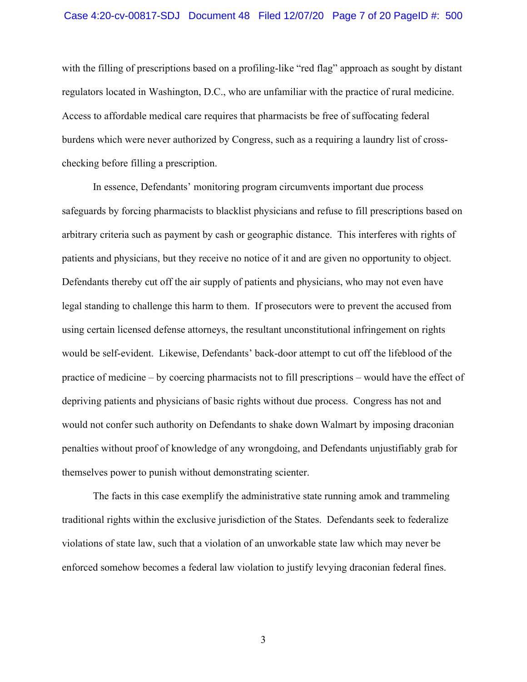with the filling of prescriptions based on a profiling-like "red flag" approach as sought by distant regulators located in Washington, D.C., who are unfamiliar with the practice of rural medicine. Access to affordable medical care requires that pharmacists be free of suffocating federal burdens which were never authorized by Congress, such as a requiring a laundry list of crosschecking before filling a prescription.

In essence, Defendants' monitoring program circumvents important due process safeguards by forcing pharmacists to blacklist physicians and refuse to fill prescriptions based on arbitrary criteria such as payment by cash or geographic distance. This interferes with rights of patients and physicians, but they receive no notice of it and are given no opportunity to object. Defendants thereby cut off the air supply of patients and physicians, who may not even have legal standing to challenge this harm to them. If prosecutors were to prevent the accused from using certain licensed defense attorneys, the resultant unconstitutional infringement on rights would be self-evident. Likewise, Defendants' back-door attempt to cut off the lifeblood of the practice of medicine – by coercing pharmacists not to fill prescriptions – would have the effect of depriving patients and physicians of basic rights without due process. Congress has not and would not confer such authority on Defendants to shake down Walmart by imposing draconian penalties without proof of knowledge of any wrongdoing, and Defendants unjustifiably grab for themselves power to punish without demonstrating scienter.

The facts in this case exemplify the administrative state running amok and trammeling traditional rights within the exclusive jurisdiction of the States. Defendants seek to federalize violations of state law, such that a violation of an unworkable state law which may never be enforced somehow becomes a federal law violation to justify levying draconian federal fines.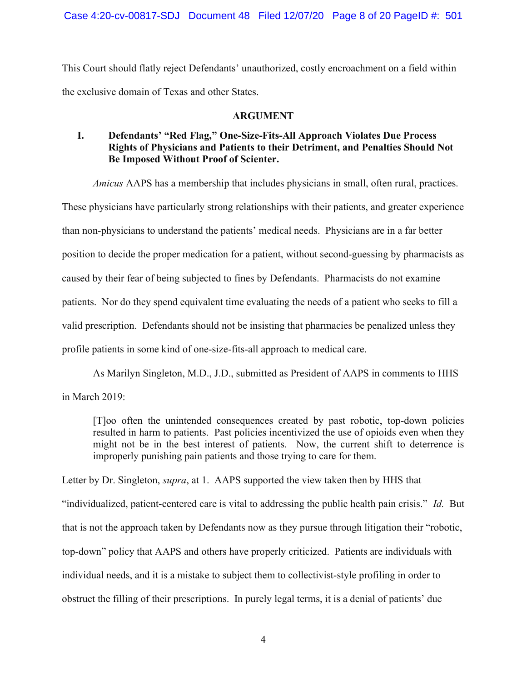Case 4:20-cv-00817-SDJ Document 48 Filed 12/07/20 Page 8 of 20 PageID #: 501

This Court should flatly reject Defendants' unauthorized, costly encroachment on a field within the exclusive domain of Texas and other States.

#### ARGUMENT

## I. Defendants' "Red Flag," One-Size-Fits-All Approach Violates Due Process Rights of Physicians and Patients to their Detriment, and Penalties Should Not Be Imposed Without Proof of Scienter.

Amicus AAPS has a membership that includes physicians in small, often rural, practices.

These physicians have particularly strong relationships with their patients, and greater experience than non-physicians to understand the patients' medical needs. Physicians are in a far better position to decide the proper medication for a patient, without second-guessing by pharmacists as caused by their fear of being subjected to fines by Defendants. Pharmacists do not examine patients. Nor do they spend equivalent time evaluating the needs of a patient who seeks to fill a valid prescription. Defendants should not be insisting that pharmacies be penalized unless they profile patients in some kind of one-size-fits-all approach to medical care.

 As Marilyn Singleton, M.D., J.D., submitted as President of AAPS in comments to HHS in March 2019:

[T]oo often the unintended consequences created by past robotic, top-down policies resulted in harm to patients. Past policies incentivized the use of opioids even when they might not be in the best interest of patients. Now, the current shift to deterrence is improperly punishing pain patients and those trying to care for them.

Letter by Dr. Singleton, *supra*, at 1. AAPS supported the view taken then by HHS that "individualized, patient-centered care is vital to addressing the public health pain crisis." Id. But that is not the approach taken by Defendants now as they pursue through litigation their "robotic, top-down" policy that AAPS and others have properly criticized. Patients are individuals with individual needs, and it is a mistake to subject them to collectivist-style profiling in order to obstruct the filling of their prescriptions. In purely legal terms, it is a denial of patients' due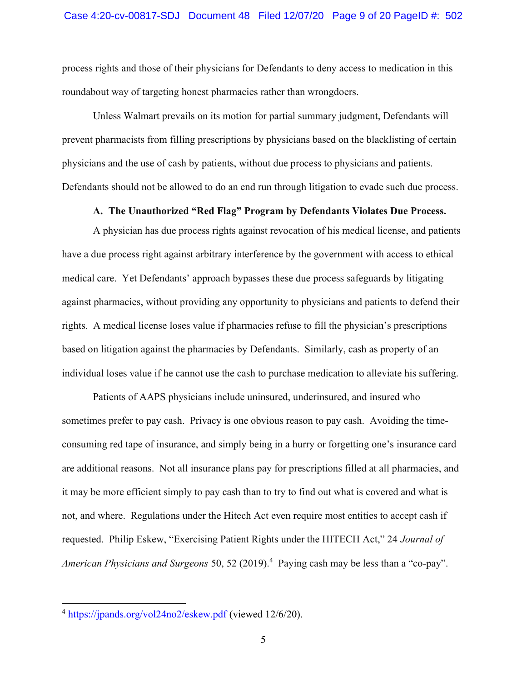process rights and those of their physicians for Defendants to deny access to medication in this roundabout way of targeting honest pharmacies rather than wrongdoers.

Unless Walmart prevails on its motion for partial summary judgment, Defendants will prevent pharmacists from filling prescriptions by physicians based on the blacklisting of certain physicians and the use of cash by patients, without due process to physicians and patients. Defendants should not be allowed to do an end run through litigation to evade such due process.

#### A. The Unauthorized "Red Flag" Program by Defendants Violates Due Process.

A physician has due process rights against revocation of his medical license, and patients have a due process right against arbitrary interference by the government with access to ethical medical care. Yet Defendants' approach bypasses these due process safeguards by litigating against pharmacies, without providing any opportunity to physicians and patients to defend their rights. A medical license loses value if pharmacies refuse to fill the physician's prescriptions based on litigation against the pharmacies by Defendants. Similarly, cash as property of an individual loses value if he cannot use the cash to purchase medication to alleviate his suffering.

Patients of AAPS physicians include uninsured, underinsured, and insured who sometimes prefer to pay cash. Privacy is one obvious reason to pay cash. Avoiding the timeconsuming red tape of insurance, and simply being in a hurry or forgetting one's insurance card are additional reasons. Not all insurance plans pay for prescriptions filled at all pharmacies, and it may be more efficient simply to pay cash than to try to find out what is covered and what is not, and where. Regulations under the Hitech Act even require most entities to accept cash if requested. Philip Eskew, "Exercising Patient Rights under the HITECH Act," 24 Journal of American Physicians and Surgeons 50, 52 (2019).<sup>4</sup> Paying cash may be less than a "co-pay".

<sup>4</sup> https://jpands.org/vol24no2/eskew.pdf (viewed 12/6/20).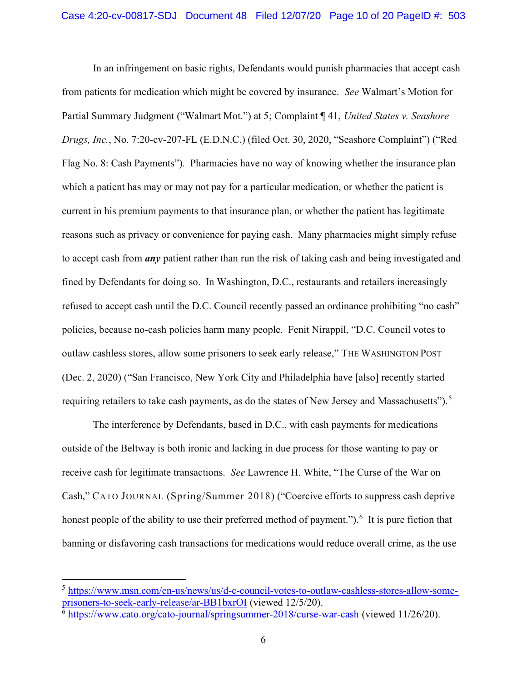In an infringement on basic rights, Defendants would punish pharmacies that accept cash from patients for medication which might be covered by insurance. See Walmart's Motion for Partial Summary Judgment ("Walmart Mot.") at 5; Complaint ¶ 41, United States v. Seashore Drugs, Inc., No. 7:20-cv-207-FL (E.D.N.C.) (filed Oct. 30, 2020, "Seashore Complaint") ("Red Flag No. 8: Cash Payments"). Pharmacies have no way of knowing whether the insurance plan which a patient has may or may not pay for a particular medication, or whether the patient is current in his premium payments to that insurance plan, or whether the patient has legitimate reasons such as privacy or convenience for paying cash. Many pharmacies might simply refuse to accept cash from *any* patient rather than run the risk of taking cash and being investigated and fined by Defendants for doing so. In Washington, D.C., restaurants and retailers increasingly refused to accept cash until the D.C. Council recently passed an ordinance prohibiting "no cash" policies, because no-cash policies harm many people. Fenit Nirappil, "D.C. Council votes to outlaw cashless stores, allow some prisoners to seek early release," THE WASHINGTON POST (Dec. 2, 2020) ("San Francisco, New York City and Philadelphia have [also] recently started requiring retailers to take cash payments, as do the states of New Jersey and Massachusetts").<sup>5</sup>

The interference by Defendants, based in D.C., with cash payments for medications outside of the Beltway is both ironic and lacking in due process for those wanting to pay or receive cash for legitimate transactions. See Lawrence H. White, "The Curse of the War on Cash," CATO JOURNAL (Spring/Summer 2018) ("Coercive efforts to suppress cash deprive honest people of the ability to use their preferred method of payment."). <sup>6</sup> It is pure fiction that banning or disfavoring cash transactions for medications would reduce overall crime, as the use

<sup>5</sup> https://www.msn.com/en-us/news/us/d-c-council-votes-to-outlaw-cashless-stores-allow-someprisoners-to-seek-early-release/ar-BB1bxrOI (viewed 12/5/20).

 $6$  https://www.cato.org/cato-journal/springsummer-2018/curse-war-cash (viewed 11/26/20).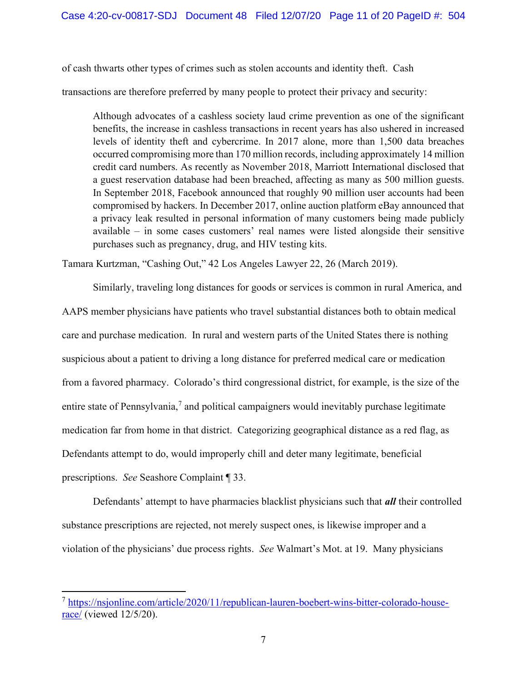of cash thwarts other types of crimes such as stolen accounts and identity theft. Cash

transactions are therefore preferred by many people to protect their privacy and security:

Although advocates of a cashless society laud crime prevention as one of the significant benefits, the increase in cashless transactions in recent years has also ushered in increased levels of identity theft and cybercrime. In 2017 alone, more than 1,500 data breaches occurred compromising more than 170 million records, including approximately 14 million credit card numbers. As recently as November 2018, Marriott International disclosed that a guest reservation database had been breached, affecting as many as 500 million guests. In September 2018, Facebook announced that roughly 90 million user accounts had been compromised by hackers. In December 2017, online auction platform eBay announced that a privacy leak resulted in personal information of many customers being made publicly available – in some cases customers' real names were listed alongside their sensitive purchases such as pregnancy, drug, and HIV testing kits.

Tamara Kurtzman, "Cashing Out," 42 Los Angeles Lawyer 22, 26 (March 2019).

Similarly, traveling long distances for goods or services is common in rural America, and AAPS member physicians have patients who travel substantial distances both to obtain medical care and purchase medication. In rural and western parts of the United States there is nothing suspicious about a patient to driving a long distance for preferred medical care or medication from a favored pharmacy. Colorado's third congressional district, for example, is the size of the entire state of Pennsylvania, $<sup>7</sup>$  and political campaigners would inevitably purchase legitimate</sup> medication far from home in that district. Categorizing geographical distance as a red flag, as Defendants attempt to do, would improperly chill and deter many legitimate, beneficial prescriptions. See Seashore Complaint ¶ 33.

Defendants' attempt to have pharmacies blacklist physicians such that *all* their controlled substance prescriptions are rejected, not merely suspect ones, is likewise improper and a violation of the physicians' due process rights. See Walmart's Mot. at 19. Many physicians

<sup>7</sup> https://nsjonline.com/article/2020/11/republican-lauren-boebert-wins-bitter-colorado-houserace/ (viewed 12/5/20).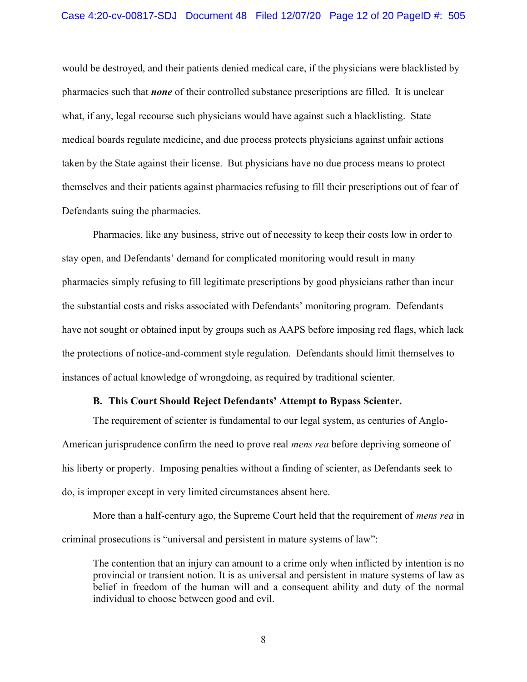would be destroyed, and their patients denied medical care, if the physicians were blacklisted by pharmacies such that **none** of their controlled substance prescriptions are filled. It is unclear what, if any, legal recourse such physicians would have against such a blacklisting. State medical boards regulate medicine, and due process protects physicians against unfair actions taken by the State against their license. But physicians have no due process means to protect themselves and their patients against pharmacies refusing to fill their prescriptions out of fear of Defendants suing the pharmacies.

Pharmacies, like any business, strive out of necessity to keep their costs low in order to stay open, and Defendants' demand for complicated monitoring would result in many pharmacies simply refusing to fill legitimate prescriptions by good physicians rather than incur the substantial costs and risks associated with Defendants' monitoring program. Defendants have not sought or obtained input by groups such as AAPS before imposing red flags, which lack the protections of notice-and-comment style regulation. Defendants should limit themselves to instances of actual knowledge of wrongdoing, as required by traditional scienter.

#### B. This Court Should Reject Defendants' Attempt to Bypass Scienter.

The requirement of scienter is fundamental to our legal system, as centuries of Anglo-American jurisprudence confirm the need to prove real *mens rea* before depriving someone of his liberty or property. Imposing penalties without a finding of scienter, as Defendants seek to do, is improper except in very limited circumstances absent here.

More than a half-century ago, the Supreme Court held that the requirement of *mens rea* in criminal prosecutions is "universal and persistent in mature systems of law":

The contention that an injury can amount to a crime only when inflicted by intention is no provincial or transient notion. It is as universal and persistent in mature systems of law as belief in freedom of the human will and a consequent ability and duty of the normal individual to choose between good and evil.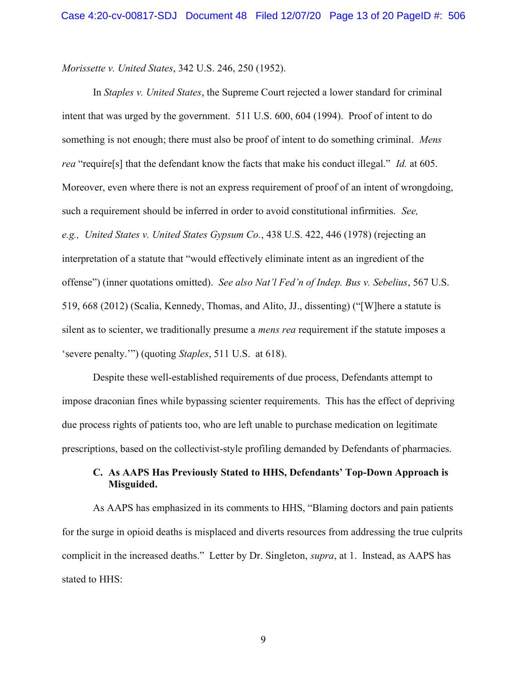Morissette v. United States, 342 U.S. 246, 250 (1952).

In Staples v. United States, the Supreme Court rejected a lower standard for criminal intent that was urged by the government. 511 U.S. 600, 604 (1994). Proof of intent to do something is not enough; there must also be proof of intent to do something criminal. Mens rea "require[s] that the defendant know the facts that make his conduct illegal." Id. at 605. Moreover, even where there is not an express requirement of proof of an intent of wrongdoing, such a requirement should be inferred in order to avoid constitutional infirmities. See, e.g., United States v. United States Gypsum Co., 438 U.S. 422, 446 (1978) (rejecting an interpretation of a statute that "would effectively eliminate intent as an ingredient of the offense") (inner quotations omitted). See also Nat'l Fed'n of Indep. Bus v. Sebelius, 567 U.S. 519, 668 (2012) (Scalia, Kennedy, Thomas, and Alito, JJ., dissenting) ("[W]here a statute is silent as to scienter, we traditionally presume a *mens rea* requirement if the statute imposes a 'severe penalty.'") (quoting Staples, 511 U.S. at 618).

Despite these well-established requirements of due process, Defendants attempt to impose draconian fines while bypassing scienter requirements. This has the effect of depriving due process rights of patients too, who are left unable to purchase medication on legitimate prescriptions, based on the collectivist-style profiling demanded by Defendants of pharmacies.

## C. As AAPS Has Previously Stated to HHS, Defendants' Top-Down Approach is Misguided.

As AAPS has emphasized in its comments to HHS, "Blaming doctors and pain patients for the surge in opioid deaths is misplaced and diverts resources from addressing the true culprits complicit in the increased deaths." Letter by Dr. Singleton, supra, at 1. Instead, as AAPS has stated to HHS: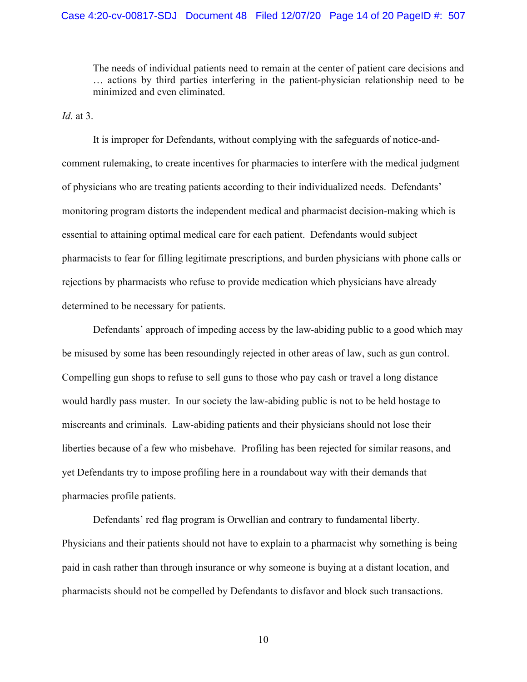#### Case 4:20-cv-00817-SDJ Document 48 Filed 12/07/20 Page 14 of 20 PageID #: 507

The needs of individual patients need to remain at the center of patient care decisions and … actions by third parties interfering in the patient-physician relationship need to be minimized and even eliminated.

Id. at  $3$ .

 It is improper for Defendants, without complying with the safeguards of notice-andcomment rulemaking, to create incentives for pharmacies to interfere with the medical judgment of physicians who are treating patients according to their individualized needs. Defendants' monitoring program distorts the independent medical and pharmacist decision-making which is essential to attaining optimal medical care for each patient. Defendants would subject pharmacists to fear for filling legitimate prescriptions, and burden physicians with phone calls or rejections by pharmacists who refuse to provide medication which physicians have already determined to be necessary for patients.

Defendants' approach of impeding access by the law-abiding public to a good which may be misused by some has been resoundingly rejected in other areas of law, such as gun control. Compelling gun shops to refuse to sell guns to those who pay cash or travel a long distance would hardly pass muster. In our society the law-abiding public is not to be held hostage to miscreants and criminals. Law-abiding patients and their physicians should not lose their liberties because of a few who misbehave. Profiling has been rejected for similar reasons, and yet Defendants try to impose profiling here in a roundabout way with their demands that pharmacies profile patients.

Defendants' red flag program is Orwellian and contrary to fundamental liberty. Physicians and their patients should not have to explain to a pharmacist why something is being paid in cash rather than through insurance or why someone is buying at a distant location, and pharmacists should not be compelled by Defendants to disfavor and block such transactions.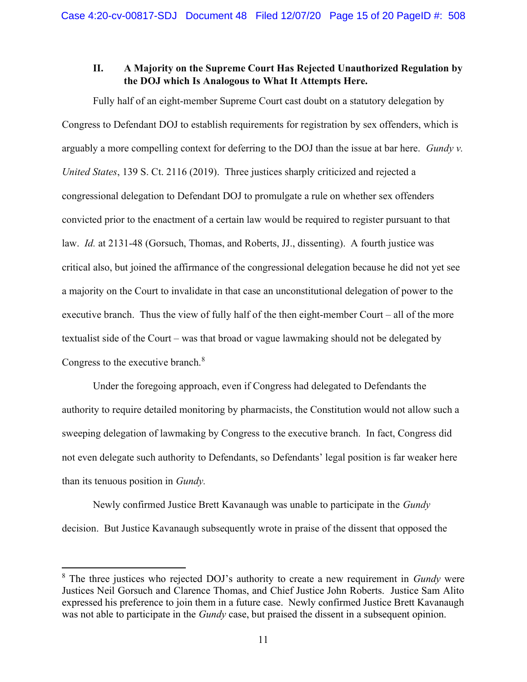## II. A Majority on the Supreme Court Has Rejected Unauthorized Regulation by the DOJ which Is Analogous to What It Attempts Here.

Fully half of an eight-member Supreme Court cast doubt on a statutory delegation by Congress to Defendant DOJ to establish requirements for registration by sex offenders, which is arguably a more compelling context for deferring to the DOJ than the issue at bar here. Gundy v. United States, 139 S. Ct. 2116 (2019). Three justices sharply criticized and rejected a congressional delegation to Defendant DOJ to promulgate a rule on whether sex offenders convicted prior to the enactment of a certain law would be required to register pursuant to that law. Id. at 2131-48 (Gorsuch, Thomas, and Roberts, JJ., dissenting). A fourth justice was critical also, but joined the affirmance of the congressional delegation because he did not yet see a majority on the Court to invalidate in that case an unconstitutional delegation of power to the executive branch. Thus the view of fully half of the then eight-member Court – all of the more textualist side of the Court – was that broad or vague lawmaking should not be delegated by Congress to the executive branch.<sup>8</sup>

Under the foregoing approach, even if Congress had delegated to Defendants the authority to require detailed monitoring by pharmacists, the Constitution would not allow such a sweeping delegation of lawmaking by Congress to the executive branch. In fact, Congress did not even delegate such authority to Defendants, so Defendants' legal position is far weaker here than its tenuous position in Gundy.

Newly confirmed Justice Brett Kavanaugh was unable to participate in the *Gundy* decision. But Justice Kavanaugh subsequently wrote in praise of the dissent that opposed the

 $8$  The three justices who rejected DOJ's authority to create a new requirement in Gundy were Justices Neil Gorsuch and Clarence Thomas, and Chief Justice John Roberts. Justice Sam Alito expressed his preference to join them in a future case. Newly confirmed Justice Brett Kavanaugh was not able to participate in the *Gundy* case, but praised the dissent in a subsequent opinion.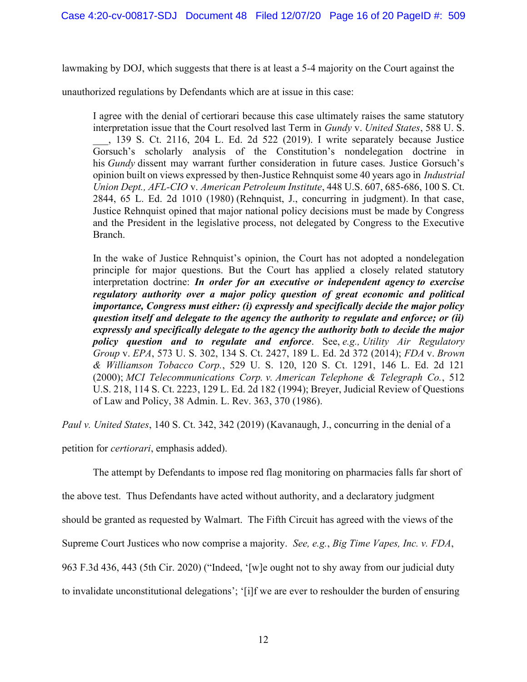lawmaking by DOJ, which suggests that there is at least a 5-4 majority on the Court against the

unauthorized regulations by Defendants which are at issue in this case:

I agree with the denial of certiorari because this case ultimately raises the same statutory interpretation issue that the Court resolved last Term in *Gundy v. United States*, 588 U.S. \_\_\_, 139 S. Ct. 2116, 204 L. Ed. 2d 522 (2019). I write separately because Justice Gorsuch's scholarly analysis of the Constitution's nondelegation doctrine in his Gundy dissent may warrant further consideration in future cases. Justice Gorsuch's opinion built on views expressed by then-Justice Rehnquist some 40 years ago in Industrial Union Dept., AFL-CIO v. American Petroleum Institute, 448 U.S. 607, 685-686, 100 S. Ct. 2844, 65 L. Ed. 2d 1010 (1980) (Rehnquist, J., concurring in judgment). In that case, Justice Rehnquist opined that major national policy decisions must be made by Congress and the President in the legislative process, not delegated by Congress to the Executive Branch.

In the wake of Justice Rehnquist's opinion, the Court has not adopted a nondelegation principle for major questions. But the Court has applied a closely related statutory interpretation doctrine: In order for an executive or independent agency to exercise regulatory authority over a major policy question of great economic and political importance, Congress must either: (i) expressly and specifically decide the major policy question itself and delegate to the agency the authority to regulate and enforce; or (ii) expressly and specifically delegate to the agency the authority both to decide the major policy question and to regulate and enforce. See, e.g., Utility Air Regulatory Group v. EPA, 573 U. S. 302, 134 S. Ct. 2427, 189 L. Ed. 2d 372 (2014); FDA v. Brown & Williamson Tobacco Corp., 529 U. S. 120, 120 S. Ct. 1291, 146 L. Ed. 2d 121 (2000); MCI Telecommunications Corp. v. American Telephone & Telegraph Co., 512 U.S. 218, 114 S. Ct. 2223, 129 L. Ed. 2d 182 (1994); Breyer, Judicial Review of Questions of Law and Policy, 38 Admin. L. Rev. 363, 370 (1986).

Paul v. United States, 140 S. Ct. 342, 342 (2019) (Kavanaugh, J., concurring in the denial of a

petition for certiorari, emphasis added).

The attempt by Defendants to impose red flag monitoring on pharmacies falls far short of

the above test. Thus Defendants have acted without authority, and a declaratory judgment

should be granted as requested by Walmart. The Fifth Circuit has agreed with the views of the

Supreme Court Justices who now comprise a majority. See, e.g., Big Time Vapes, Inc. v. FDA,

963 F.3d 436, 443 (5th Cir. 2020) ("Indeed, '[w]e ought not to shy away from our judicial duty

to invalidate unconstitutional delegations'; '[i]f we are ever to reshoulder the burden of ensuring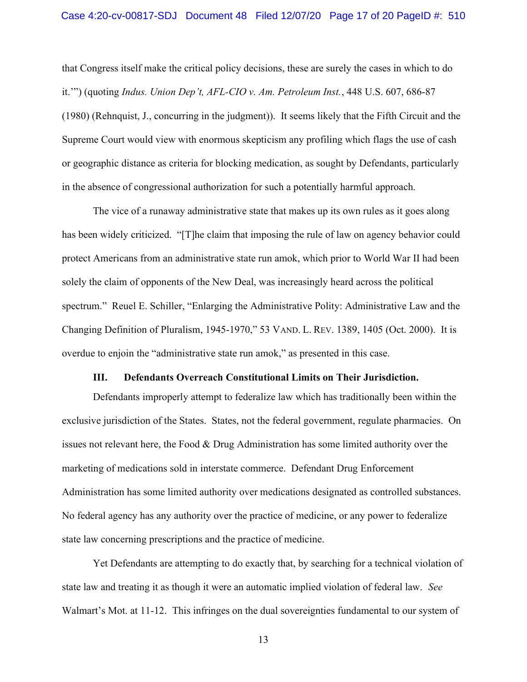that Congress itself make the critical policy decisions, these are surely the cases in which to do it.'") (quoting Indus. Union Dep't, AFL-CIO v. Am. Petroleum Inst., 448 U.S. 607, 686-87 (1980) (Rehnquist, J., concurring in the judgment)). It seems likely that the Fifth Circuit and the Supreme Court would view with enormous skepticism any profiling which flags the use of cash or geographic distance as criteria for blocking medication, as sought by Defendants, particularly in the absence of congressional authorization for such a potentially harmful approach.

The vice of a runaway administrative state that makes up its own rules as it goes along has been widely criticized. "[T]he claim that imposing the rule of law on agency behavior could protect Americans from an administrative state run amok, which prior to World War II had been solely the claim of opponents of the New Deal, was increasingly heard across the political spectrum." Reuel E. Schiller, "Enlarging the Administrative Polity: Administrative Law and the Changing Definition of Pluralism, 1945-1970," 53 VAND. L. REV. 1389, 1405 (Oct. 2000). It is overdue to enjoin the "administrative state run amok," as presented in this case.

### III. Defendants Overreach Constitutional Limits on Their Jurisdiction.

Defendants improperly attempt to federalize law which has traditionally been within the exclusive jurisdiction of the States. States, not the federal government, regulate pharmacies. On issues not relevant here, the Food & Drug Administration has some limited authority over the marketing of medications sold in interstate commerce. Defendant Drug Enforcement Administration has some limited authority over medications designated as controlled substances. No federal agency has any authority over the practice of medicine, or any power to federalize state law concerning prescriptions and the practice of medicine.

Yet Defendants are attempting to do exactly that, by searching for a technical violation of state law and treating it as though it were an automatic implied violation of federal law. See Walmart's Mot. at 11-12. This infringes on the dual sovereignties fundamental to our system of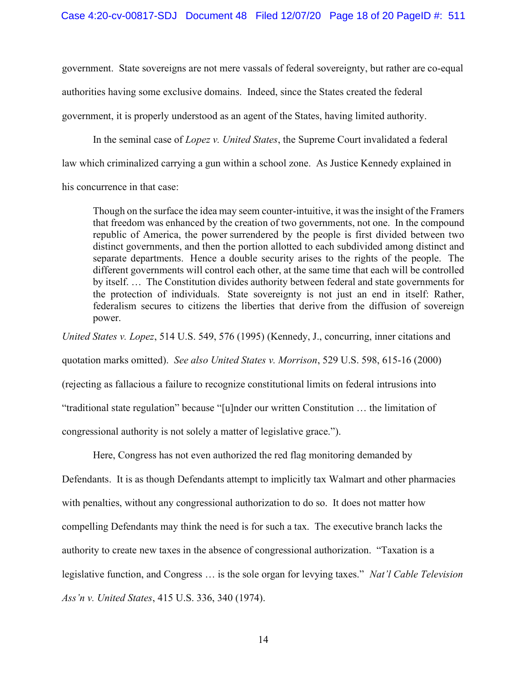government. State sovereigns are not mere vassals of federal sovereignty, but rather are co-equal authorities having some exclusive domains. Indeed, since the States created the federal government, it is properly understood as an agent of the States, having limited authority.

In the seminal case of Lopez v. United States, the Supreme Court invalidated a federal

law which criminalized carrying a gun within a school zone. As Justice Kennedy explained in

his concurrence in that case:

Though on the surface the idea may seem counter-intuitive, it was the insight of the Framers that freedom was enhanced by the creation of two governments, not one. In the compound republic of America, the power surrendered by the people is first divided between two distinct governments, and then the portion allotted to each subdivided among distinct and separate departments. Hence a double security arises to the rights of the people. The different governments will control each other, at the same time that each will be controlled by itself. … The Constitution divides authority between federal and state governments for the protection of individuals. State sovereignty is not just an end in itself: Rather, federalism secures to citizens the liberties that derive from the diffusion of sovereign power.

United States v. Lopez, 514 U.S. 549, 576 (1995) (Kennedy, J., concurring, inner citations and quotation marks omitted). See also United States v. Morrison, 529 U.S. 598, 615-16 (2000) (rejecting as fallacious a failure to recognize constitutional limits on federal intrusions into "traditional state regulation" because "[u]nder our written Constitution … the limitation of congressional authority is not solely a matter of legislative grace.").

Here, Congress has not even authorized the red flag monitoring demanded by

Defendants. It is as though Defendants attempt to implicitly tax Walmart and other pharmacies with penalties, without any congressional authorization to do so. It does not matter how compelling Defendants may think the need is for such a tax. The executive branch lacks the authority to create new taxes in the absence of congressional authorization. "Taxation is a legislative function, and Congress ... is the sole organ for levying taxes." Nat'l Cable Television Ass'n v. United States, 415 U.S. 336, 340 (1974).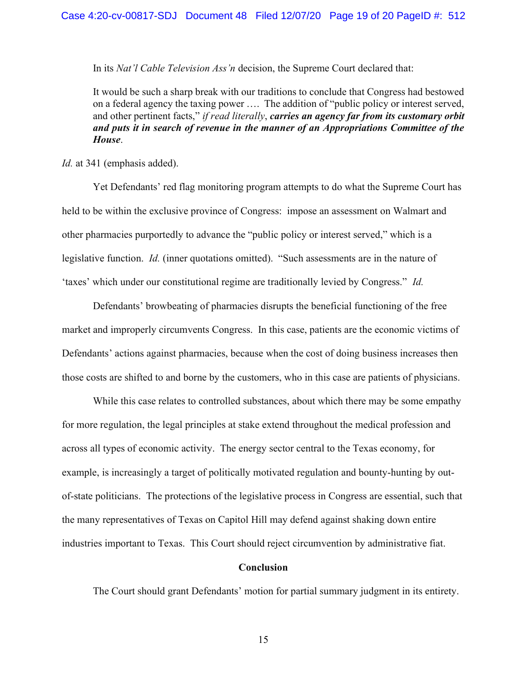In its Nat'l Cable Television Ass'n decision, the Supreme Court declared that:

It would be such a sharp break with our traditions to conclude that Congress had bestowed on a federal agency the taxing power …. The addition of "public policy or interest served, and other pertinent facts," if read literally, carries an agency far from its customary orbit and puts it in search of revenue in the manner of an Appropriations Committee of the House.

Id. at 341 (emphasis added).

 Yet Defendants' red flag monitoring program attempts to do what the Supreme Court has held to be within the exclusive province of Congress: impose an assessment on Walmart and other pharmacies purportedly to advance the "public policy or interest served," which is a legislative function. *Id.* (inner quotations omitted). "Such assessments are in the nature of 'taxes' which under our constitutional regime are traditionally levied by Congress." Id.

Defendants' browbeating of pharmacies disrupts the beneficial functioning of the free market and improperly circumvents Congress. In this case, patients are the economic victims of Defendants' actions against pharmacies, because when the cost of doing business increases then those costs are shifted to and borne by the customers, who in this case are patients of physicians.

While this case relates to controlled substances, about which there may be some empathy for more regulation, the legal principles at stake extend throughout the medical profession and across all types of economic activity. The energy sector central to the Texas economy, for example, is increasingly a target of politically motivated regulation and bounty-hunting by outof-state politicians. The protections of the legislative process in Congress are essential, such that the many representatives of Texas on Capitol Hill may defend against shaking down entire industries important to Texas. This Court should reject circumvention by administrative fiat.

#### Conclusion

The Court should grant Defendants' motion for partial summary judgment in its entirety.